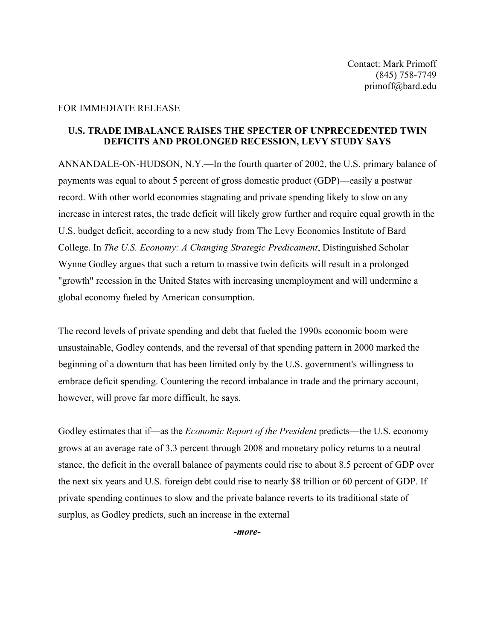## FOR IMMEDIATE RELEASE

## **U.S. TRADE IMBALANCE RAISES THE SPECTER OF UNPRECEDENTED TWIN DEFICITS AND PROLONGED RECESSION, LEVY STUDY SAYS**

ANNANDALE-ON-HUDSON, N.Y.—In the fourth quarter of 2002, the U.S. primary balance of payments was equal to about 5 percent of gross domestic product (GDP)—easily a postwar record. With other world economies stagnating and private spending likely to slow on any increase in interest rates, the trade deficit will likely grow further and require equal growth in the U.S. budget deficit, according to a new study from The Levy Economics Institute of Bard College. In *The U.S. Economy: A Changing Strategic Predicament*, Distinguished Scholar Wynne Godley argues that such a return to massive twin deficits will result in a prolonged "growth" recession in the United States with increasing unemployment and will undermine a global economy fueled by American consumption.

The record levels of private spending and debt that fueled the 1990s economic boom were unsustainable, Godley contends, and the reversal of that spending pattern in 2000 marked the beginning of a downturn that has been limited only by the U.S. government's willingness to embrace deficit spending. Countering the record imbalance in trade and the primary account, however, will prove far more difficult, he says.

Godley estimates that if—as the *Economic Report of the President* predicts—the U.S. economy grows at an average rate of 3.3 percent through 2008 and monetary policy returns to a neutral stance, the deficit in the overall balance of payments could rise to about 8.5 percent of GDP over the next six years and U.S. foreign debt could rise to nearly \$8 trillion or 60 percent of GDP. If private spending continues to slow and the private balance reverts to its traditional state of surplus, as Godley predicts, such an increase in the external

*-more-*